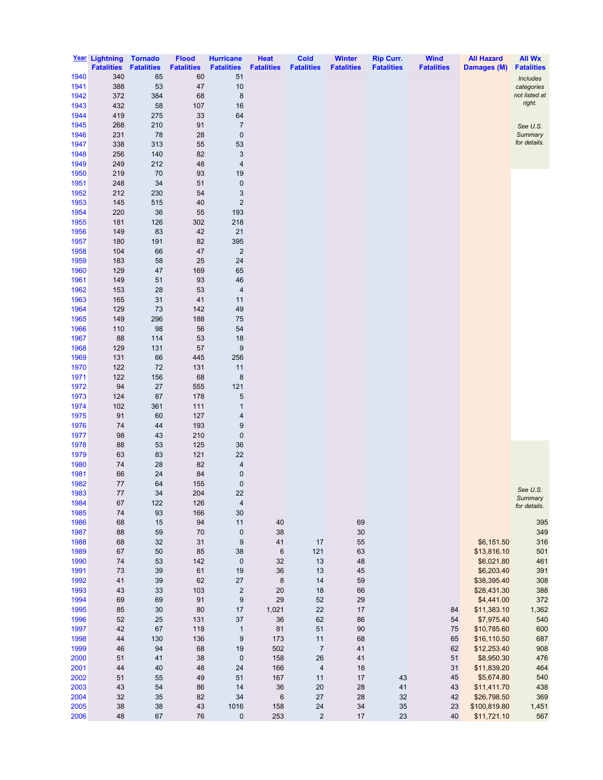|              | Year Lightning    | <b>Tornado</b>    | <b>Flood</b>      | <b>Hurricane</b>        | <b>Heat</b>       | <b>Cold</b>       | <b>Winter</b>     | <b>Rip Curr.</b>  | <b>Wind</b>       | <b>All Hazard</b>         | <b>All Wx</b>               |
|--------------|-------------------|-------------------|-------------------|-------------------------|-------------------|-------------------|-------------------|-------------------|-------------------|---------------------------|-----------------------------|
|              | <b>Fatalities</b> | <b>Fatalities</b> | <b>Fatalities</b> | <b>Fatalities</b>       | <b>Fatalities</b> | <b>Fatalities</b> | <b>Fatalities</b> | <b>Fatalities</b> | <b>Fatalities</b> | Damages (M)               | <b>Fatalities</b>           |
| 1940         | 340               | 65                | 60                | 51                      |                   |                   |                   |                   |                   |                           | <b>Includes</b>             |
| 1941<br>1942 | 388<br>372        | 53<br>384         | 47<br>68          | 10<br>8                 |                   |                   |                   |                   |                   |                           | categories<br>not listed at |
| 1943         | 432               | 58                | 107               | 16                      |                   |                   |                   |                   |                   |                           | right.                      |
| 1944         | 419               | 275               | 33                | 64                      |                   |                   |                   |                   |                   |                           |                             |
| 1945         | 268               | 210               | 91                | $\overline{7}$          |                   |                   |                   |                   |                   |                           | See U.S.                    |
| 1946         | 231               | 78                | 28                | $\pmb{0}$               |                   |                   |                   |                   |                   |                           | Summary                     |
| 1947         | 338               | 313               | 55                | 53                      |                   |                   |                   |                   |                   |                           | for details.                |
| 1948         | 256               | 140               | 82                | 3                       |                   |                   |                   |                   |                   |                           |                             |
| 1949         | 249               | 212               | 48                | 4                       |                   |                   |                   |                   |                   |                           |                             |
| 1950         | 219               | 70                | 93                | 19                      |                   |                   |                   |                   |                   |                           |                             |
| 1951<br>1952 | 248<br>212        | 34<br>230         | 51<br>54          | $\pmb{0}$<br>3          |                   |                   |                   |                   |                   |                           |                             |
| 1953         | 145               | 515               | 40                | $\mathbf 2$             |                   |                   |                   |                   |                   |                           |                             |
| 1954         | 220               | 36                | 55                | 193                     |                   |                   |                   |                   |                   |                           |                             |
| 1955         | 181               | 126               | 302               | 218                     |                   |                   |                   |                   |                   |                           |                             |
| 1956         | 149               | 83                | 42                | 21                      |                   |                   |                   |                   |                   |                           |                             |
| 1957         | 180               | 191               | 82                | 395                     |                   |                   |                   |                   |                   |                           |                             |
| 1958         | 104               | 66                | 47                | $\overline{c}$          |                   |                   |                   |                   |                   |                           |                             |
| 1959         | 183               | 58                | 25                | 24                      |                   |                   |                   |                   |                   |                           |                             |
| 1960<br>1961 | 129<br>149        | 47<br>51          | 169<br>93         | 65<br>46                |                   |                   |                   |                   |                   |                           |                             |
| 1962         | 153               | 28                | 53                | 4                       |                   |                   |                   |                   |                   |                           |                             |
| 1963         | 165               | 31                | 41                | 11                      |                   |                   |                   |                   |                   |                           |                             |
| 1964         | 129               | 73                | 142               | 49                      |                   |                   |                   |                   |                   |                           |                             |
| 1965         | 149               | 296               | 188               | 75                      |                   |                   |                   |                   |                   |                           |                             |
| 1966         | 110               | 98                | 56                | 54                      |                   |                   |                   |                   |                   |                           |                             |
| 1967         | 88                | 114               | 53                | 18                      |                   |                   |                   |                   |                   |                           |                             |
| 1968         | 129               | 131               | 57                | 9                       |                   |                   |                   |                   |                   |                           |                             |
| 1969         | 131               | 66                | 445               | 256                     |                   |                   |                   |                   |                   |                           |                             |
| 1970<br>1971 | 122<br>122        | 72<br>156         | 131<br>68         | 11<br>$\bf 8$           |                   |                   |                   |                   |                   |                           |                             |
| 1972         | 94                | 27                | 555               | 121                     |                   |                   |                   |                   |                   |                           |                             |
| 1973         | 124               | 87                | 178               | 5                       |                   |                   |                   |                   |                   |                           |                             |
| 1974         | 102               | 361               | 111               | $\mathbf{1}$            |                   |                   |                   |                   |                   |                           |                             |
| 1975         | 91                | 60                | 127               | 4                       |                   |                   |                   |                   |                   |                           |                             |
| 1976         | 74                | 44                | 193               | 9                       |                   |                   |                   |                   |                   |                           |                             |
| 1977         | 98                | 43                | 210               | $\pmb{0}$               |                   |                   |                   |                   |                   |                           |                             |
| 1978         | 88                | 53                | 125               | 36                      |                   |                   |                   |                   |                   |                           |                             |
| 1979<br>1980 | 63<br>74          | 83<br>28          | 121<br>82         | 22<br>4                 |                   |                   |                   |                   |                   |                           |                             |
| 1981         | 66                | 24                | 84                | 0                       |                   |                   |                   |                   |                   |                           |                             |
| 1982         | 77                | 64                | 155               | $\mathbf 0$             |                   |                   |                   |                   |                   |                           |                             |
| 1983         | 77                | 34                | 204               | 22                      |                   |                   |                   |                   |                   |                           | See U.S.                    |
| 1984         | 67                | 122               | 126               | $\overline{\mathbf{4}}$ |                   |                   |                   |                   |                   |                           | Summary<br>for details.     |
| 1985         | 74                | 93                | 166               | 30                      |                   |                   |                   |                   |                   |                           |                             |
| 1986         | 68                | 15                | 94                | 11                      | 40                |                   | 69                |                   |                   |                           | 395                         |
| 1987         | 88                | 59                | 70                | $\pmb{0}$               | 38                |                   | $30\,$            |                   |                   |                           | 349                         |
| 1988<br>1989 | 68<br>67          | 32<br>50          | 31<br>85          | $\boldsymbol{9}$<br>38  | 41<br>$\,6\,$     | $17$<br>121       | 55<br>63          |                   |                   | \$6,151.50<br>\$13,816.10 | 316<br>501                  |
| 1990         | 74                | 53                | 142               | $\pmb{0}$               | 32                | 13                | 48                |                   |                   | \$6,021.80                | 461                         |
| 1991         | 73                | 39                | 61                | 19                      | 36                | 13                | 45                |                   |                   | \$6,203.40                | 391                         |
| 1992         | 41                | 39                | 62                | 27                      | $\bf 8$           | 14                | 59                |                   |                   | \$38,395.40               | 308                         |
| 1993         | 43                | 33                | 103               | 2                       | 20                | 18                | 66                |                   |                   | \$28,431.30               | 388                         |
| 1994         | 69                | 69                | 91                | $\boldsymbol{9}$        | 29                | 52                | 29                |                   |                   | \$4,441.00                | 372                         |
| 1995         | 85                | 30                | 80                | 17                      | 1,021             | 22                | $17$              |                   | 84                | \$11,383.10               | 1,362                       |
| 1996<br>1997 | 52<br>42          | 25<br>67          | 131<br>118        | $37\,$                  | 36<br>81          | 62<br>51          | 86<br>$90\,$      |                   | 54<br>75          | \$7,975.40<br>\$10,785.60 | 540<br>600                  |
| 1998         | 44                | 130               | 136               | $\mathbf{1}$<br>9       | 173               | 11                | 68                |                   | 65                | \$16,110.50               | 687                         |
| 1999         | 46                | 94                | 68                | 19                      | 502               | $\overline{7}$    | 41                |                   | 62                | \$12,253.40               | 908                         |
| 2000         | 51                | 41                | 38                | $\pmb{0}$               | 158               | 26                | 41                |                   | 51                | \$8,950.30                | 476                         |
| 2001         | 44                | 40                | 48                | 24                      | 166               | 4                 | 18                |                   | 31                | \$11,839.20               | 464                         |
| 2002         | 51                | 55                | 49                | 51                      | 167               | 11                | $17$              | 43                | 45                | \$5,674.80                | 540                         |
| 2003         | 43                | 54                | 86                | 14                      | 36                | $20\,$            | 28                | 41                | 43                | \$11,411.70               | 438                         |
| 2004         | 32                | 35                | 82                | 34                      | $\,6$             | 27                | 28                | 32                | 42                | \$26,798.50               | 369                         |
| 2005         | 38                | 38                | 43                | 1016                    | 158               | 24                | 34                | 35                | 23                | \$100,819.80              | 1,451                       |
| 2006         | 48                | 67                | 76                | 0                       | 253               | $\mathbf 2$       | 17                | 23                | 40                | \$11,721.10               | 567                         |